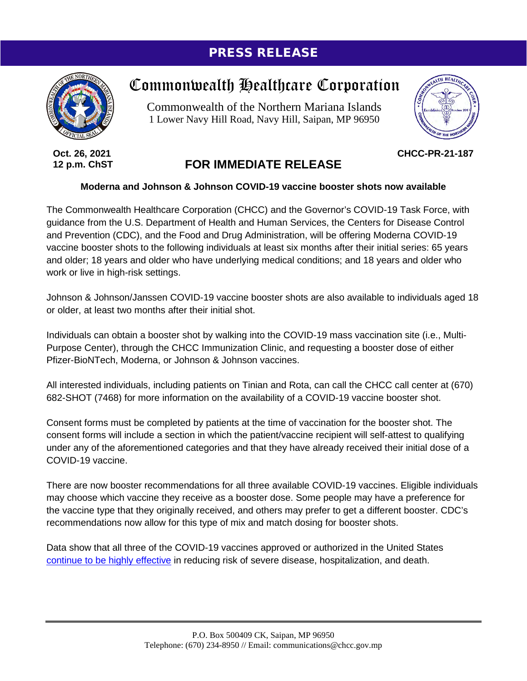## PRESS RELEASE



**Oct. 26, 2021 12 p.m. ChST**

## Commonwealth Healthcare Corporation

Commonwealth of the Northern Mariana Islands 1 Lower Navy Hill Road, Navy Hill, Saipan, MP 96950



**CHCC-PR-21-187**

## **FOR IMMEDIATE RELEASE**

## **Moderna and Johnson & Johnson COVID-19 vaccine booster shots now available**

The Commonwealth Healthcare Corporation (CHCC) and the Governor's COVID-19 Task Force, with guidance from the U.S. Department of Health and Human Services, the Centers for Disease Control and Prevention (CDC), and the Food and Drug Administration, will be offering Moderna COVID-19 vaccine booster shots to the following individuals at least six months after their initial series: 65 years and older; 18 years and older who have underlying medical conditions; and 18 years and older who work or live in high-risk settings.

Johnson & Johnson/Janssen COVID-19 vaccine booster shots are also available to individuals aged 18 or older, at least two months after their initial shot.

Individuals can obtain a booster shot by walking into the COVID-19 mass vaccination site (i.e., Multi-Purpose Center), through the CHCC Immunization Clinic, and requesting a booster dose of either Pfizer-BioNTech, Moderna, or Johnson & Johnson vaccines.

All interested individuals, including patients on Tinian and Rota, can call the CHCC call center at (670) 682-SHOT (7468) for more information on the availability of a COVID-19 vaccine booster shot.

Consent forms must be completed by patients at the time of vaccination for the booster shot. The consent forms will include a section in which the patient/vaccine recipient will self-attest to qualifying under any of the aforementioned categories and that they have already received their initial dose of a COVID-19 vaccine.

There are now booster recommendations for all three available COVID-19 vaccines. Eligible individuals may choose which vaccine they receive as a booster dose. Some people may have a preference for the vaccine type that they originally received, and others may prefer to get a different booster. CDC's recommendations now allow for this type of mix and match dosing for booster shots.

Data show that all three of the COVID-19 vaccines approved or authorized in the United States [continue to be highly effective](https://www.cdc.gov/coronavirus/2019-ncov/vaccines/effectiveness/work.html) in reducing risk of severe disease, hospitalization, and death.